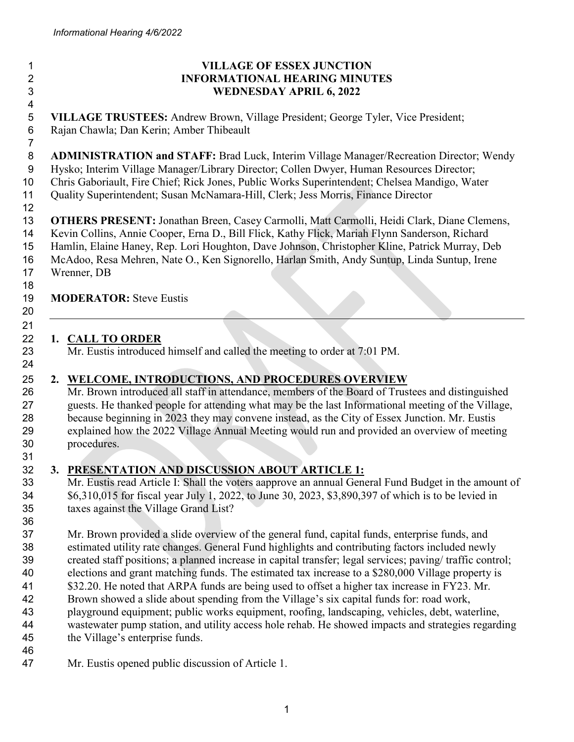**.**

 

# **VILLAGE OF ESSEX JUNCTION INFORMATIONAL HEARING MINUTES WEDNESDAY APRIL 6, 2022 VILLAGE TRUSTEES:** Andrew Brown, Village President; George Tyler, Vice President; Rajan Chawla; Dan Kerin; Amber Thibeault **ADMINISTRATION and STAFF:** Brad Luck, Interim Village Manager/Recreation Director; Wendy Hysko; Interim Village Manager/Library Director; Collen Dwyer, Human Resources Director; Chris Gaboriault, Fire Chief; Rick Jones, Public Works Superintendent; Chelsea Mandigo, Water Quality Superintendent; Susan McNamara-Hill, Clerk; Jess Morris, Finance Director **OTHERS PRESENT:** Jonathan Breen, Casey Carmolli, Matt Carmolli, Heidi Clark, Diane Clemens, Kevin Collins, Annie Cooper, Erna D., Bill Flick, Kathy Flick, Mariah Flynn Sanderson, Richard Hamlin, Elaine Haney, Rep. Lori Houghton, Dave Johnson, Christopher Kline, Patrick Murray, Deb McAdoo, Resa Mehren, Nate O., Ken Signorello, Harlan Smith, Andy Suntup, Linda Suntup, Irene Wrenner, DB **MODERATOR:** Steve Eustis **1. CALL TO ORDER** Mr. Eustis introduced himself and called the meeting to order at 7:01 PM. **2. WELCOME, INTRODUCTIONS, AND PROCEDURES OVERVIEW** Mr. Brown introduced all staff in attendance, members of the Board of Trustees and distinguished guests. He thanked people for attending what may be the last Informational meeting of the Village, because beginning in 2023 they may convene instead, as the City of Essex Junction. Mr. Eustis explained how the 2022 Village Annual Meeting would run and provided an overview of meeting procedures. **3. PRESENTATION AND DISCUSSION ABOUT ARTICLE 1:** Mr. Eustis read Article I: Shall the voters aapprove an annual General Fund Budget in the amount of \$6,310,015 for fiscal year July 1, 2022, to June 30, 2023, \$3,890,397 of which is to be levied in taxes against the Village Grand List? Mr. Brown provided a slide overview of the general fund, capital funds, enterprise funds, and estimated utility rate changes. General Fund highlights and contributing factors included newly created staff positions; a planned increase in capital transfer; legal services; paving/ traffic control; elections and grant matching funds. The estimated tax increase to a \$280,000 Village property is \$32.20. He noted that ARPA funds are being used to offset a higher tax increase in FY23. Mr. Brown showed a slide about spending from the Village's six capital funds for: road work, playground equipment; public works equipment, roofing, landscaping, vehicles, debt, waterline, wastewater pump station, and utility access hole rehab. He showed impacts and strategies regarding

- the Village's enterprise funds.
- Mr. Eustis opened public discussion of Article 1.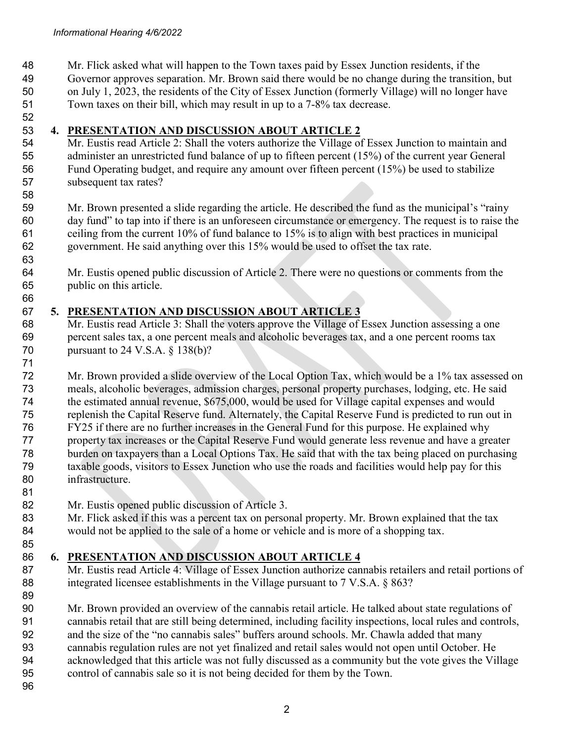Mr. Flick asked what will happen to the Town taxes paid by Essex Junction residents, if the Governor approves separation. Mr. Brown said there would be no change during the transition, but on July 1, 2023, the residents of the City of Essex Junction (formerly Village) will no longer have

 Town taxes on their bill, which may result in up to a 7-8% tax decrease. 

#### **4. PRESENTATION AND DISCUSSION ABOUT ARTICLE 2**

 Mr. Eustis read Article 2: Shall the voters authorize the Village of Essex Junction to maintain and administer an unrestricted fund balance of up to fifteen percent (15%) of the current year General Fund Operating budget, and require any amount over fifteen percent (15%) be used to stabilize subsequent tax rates?

 Mr. Brown presented a slide regarding the article. He described the fund as the municipal's "rainy day fund" to tap into if there is an unforeseen circumstance or emergency. The request is to raise the ceiling from the current 10% of fund balance to 15% is to align with best practices in municipal government. He said anything over this 15% would be used to offset the tax rate.

 Mr. Eustis opened public discussion of Article 2. There were no questions or comments from the public on this article.

## **5. PRESENTATION AND DISCUSSION ABOUT ARTICLE 3**

 Mr. Eustis read Article 3: Shall the voters approve the Village of Essex Junction assessing a one percent sales tax, a one percent meals and alcoholic beverages tax, and a one percent rooms tax 70 pursuant to 24 V.S.A. § 138(b)?

 Mr. Brown provided a slide overview of the Local Option Tax, which would be a 1% tax assessed on meals, alcoholic beverages, admission charges, personal property purchases, lodging, etc. He said the estimated annual revenue, \$675,000, would be used for Village capital expenses and would replenish the Capital Reserve fund. Alternately, the Capital Reserve Fund is predicted to run out in FY25 if there are no further increases in the General Fund for this purpose. He explained why property tax increases or the Capital Reserve Fund would generate less revenue and have a greater burden on taxpayers than a Local Options Tax. He said that with the tax being placed on purchasing taxable goods, visitors to Essex Junction who use the roads and facilities would help pay for this infrastructure.

Mr. Eustis opened public discussion of Article 3.

83 Mr. Flick asked if this was a percent tax on personal property. Mr. Brown explained that the tax would not be applied to the sale of a home or vehicle and is more of a shopping tax. 

## **6. PRESENTATION AND DISCUSSION ABOUT ARTICLE 4**

87 Mr. Eustis read Article 4: Village of Essex Junction authorize cannabis retailers and retail portions of 88 integrated licensee establishments in the Village pursuant to 7 V.S.A. § 863?

 Mr. Brown provided an overview of the cannabis retail article. He talked about state regulations of cannabis retail that are still being determined, including facility inspections, local rules and controls, and the size of the "no cannabis sales" buffers around schools. Mr. Chawla added that many cannabis regulation rules are not yet finalized and retail sales would not open until October. He acknowledged that this article was not fully discussed as a community but the vote gives the Village control of cannabis sale so it is not being decided for them by the Town.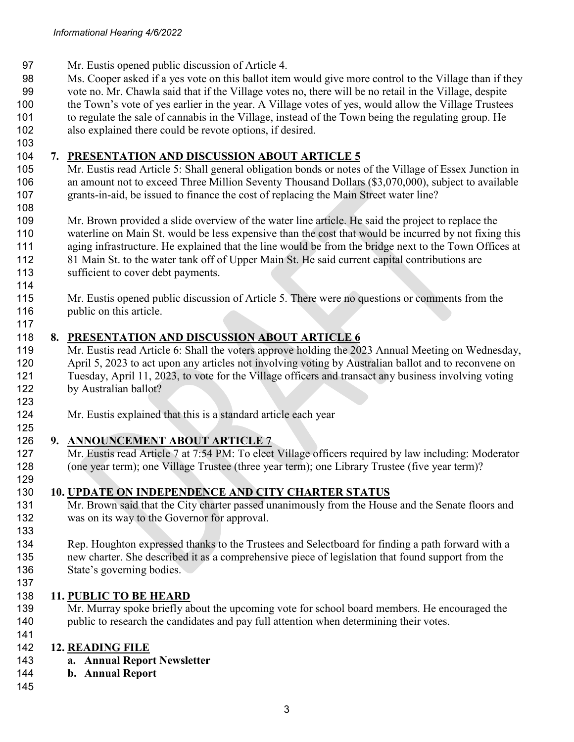- Mr. Eustis opened public discussion of Article 4.
- Ms. Cooper asked if a yes vote on this ballot item would give more control to the Village than if they
- vote no. Mr. Chawla said that if the Village votes no, there will be no retail in the Village, despite
- the Town's vote of yes earlier in the year. A Village votes of yes, would allow the Village Trustees
- to regulate the sale of cannabis in the Village, instead of the Town being the regulating group. He also explained there could be revote options, if desired.
- 

#### **7. PRESENTATION AND DISCUSSION ABOUT ARTICLE 5**

- Mr. Eustis read Article 5: Shall general obligation bonds or notes of the Village of Essex Junction in an amount not to exceed Three Million Seventy Thousand Dollars (\$3,070,000), subject to available grants-in-aid, be issued to finance the cost of replacing the Main Street water line?
- 

 Mr. Brown provided a slide overview of the water line article. He said the project to replace the waterline on Main St. would be less expensive than the cost that would be incurred by not fixing this aging infrastructure. He explained that the line would be from the bridge next to the Town Offices at 112 81 Main St. to the water tank off of Upper Main St. He said current capital contributions are 113 sufficient to cover debt payments.

 Mr. Eustis opened public discussion of Article 5. There were no questions or comments from the 116 public on this article.

#### **8. PRESENTATION AND DISCUSSION ABOUT ARTICLE 6**

- Mr. Eustis read Article 6: Shall the voters approve holding the 2023 Annual Meeting on Wednesday, April 5, 2023 to act upon any articles not involving voting by Australian ballot and to reconvene on Tuesday, April 11, 2023, to vote for the Village officers and transact any business involving voting by Australian ballot?
- Mr. Eustis explained that this is a standard article each year
- **9. ANNOUNCEMENT ABOUT ARTICLE 7**
- Mr. Eustis read Article 7 at 7:54 PM: To elect Village officers required by law including: Moderator (one year term); one Village Trustee (three year term); one Library Trustee (five year term)?

#### **10. UPDATE ON INDEPENDENCE AND CITY CHARTER STATUS**

- 131 Mr. Brown said that the City charter passed unanimously from the House and the Senate floors and was on its way to the Governor for approval.
- Rep. Houghton expressed thanks to the Trustees and Selectboard for finding a path forward with a new charter. She described it as a comprehensive piece of legislation that found support from the State's governing bodies.
- 

#### **11. PUBLIC TO BE HEARD**

 Mr. Murray spoke briefly about the upcoming vote for school board members. He encouraged the public to research the candidates and pay full attention when determining their votes.

#### **12. READING FILE**

**a. Annual Report Newsletter**

#### **b. Annual Report**